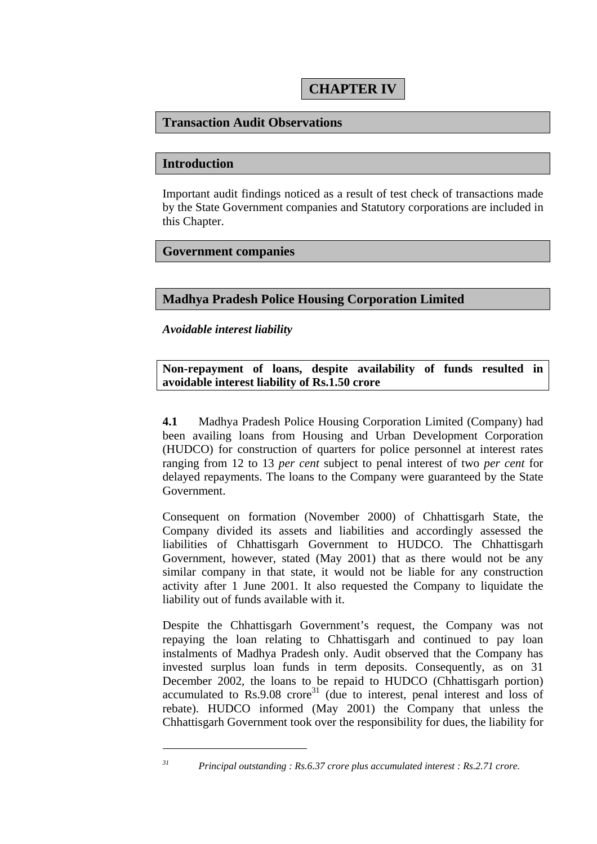# **Transaction Audit Observations**

#### **Introduction**

Important audit findings noticed as a result of test check of transactions made by the State Government companies and Statutory corporations are included in this Chapter.

## **Government companies**

## **Madhya Pradesh Police Housing Corporation Limited**

*Avoidable interest liability* 

 $\overline{a}$ 

**Non-repayment of loans, despite availability of funds resulted in avoidable interest liability of Rs.1.50 crore** 

**4.1** Madhya Pradesh Police Housing Corporation Limited (Company) had been availing loans from Housing and Urban Development Corporation (HUDCO) for construction of quarters for police personnel at interest rates ranging from 12 to 13 *per cent* subject to penal interest of two *per cent* for delayed repayments. The loans to the Company were guaranteed by the State Government.

Consequent on formation (November 2000) of Chhattisgarh State, the Company divided its assets and liabilities and accordingly assessed the liabilities of Chhattisgarh Government to HUDCO. The Chhattisgarh Government, however, stated (May 2001) that as there would not be any similar company in that state, it would not be liable for any construction activity after 1 June 2001. It also requested the Company to liquidate the liability out of funds available with it.

Despite the Chhattisgarh Government's request, the Company was not repaying the loan relating to Chhattisgarh and continued to pay loan instalments of Madhya Pradesh only. Audit observed that the Company has invested surplus loan funds in term deposits. Consequently, as on 31 December 2002, the loans to be repaid to HUDCO (Chhattisgarh portion) accumulated to  $\text{Rs.}9.08$  crore<sup>31</sup> (due to interest, penal interest and loss of rebate). HUDCO informed (May 2001) the Company that unless the Chhattisgarh Government took over the responsibility for dues, the liability for

*<sup>31</sup> Principal outstanding : Rs.6.37 crore plus accumulated interest : Rs.2.71 crore.*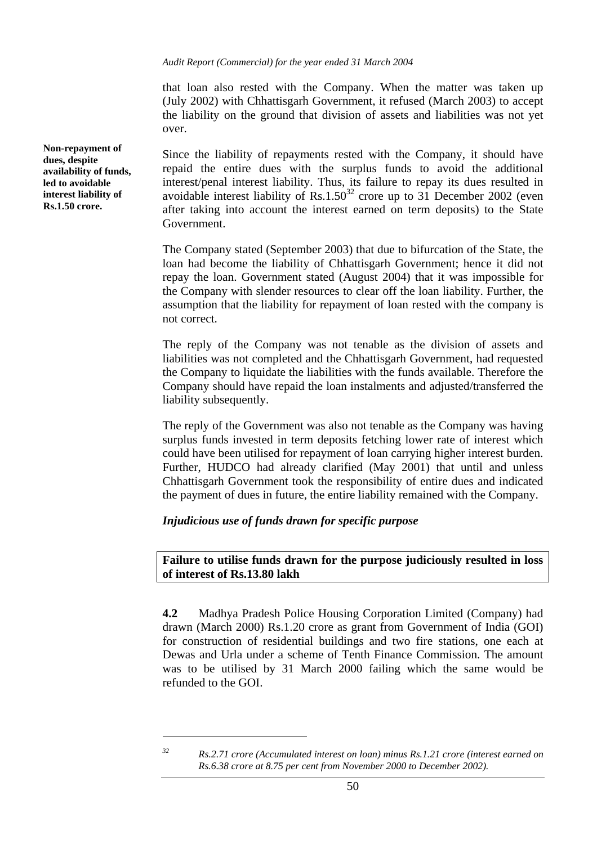that loan also rested with the Company. When the matter was taken up (July 2002) with Chhattisgarh Government, it refused (March 2003) to accept the liability on the ground that division of assets and liabilities was not yet over.

Since the liability of repayments rested with the Company, it should have repaid the entire dues with the surplus funds to avoid the additional interest/penal interest liability. Thus, its failure to repay its dues resulted in avoidable interest liability of Rs.1.50<sup>32</sup> crore up to 31 December 2002 (even after taking into account the interest earned on term deposits) to the State Government.

The Company stated (September 2003) that due to bifurcation of the State, the loan had become the liability of Chhattisgarh Government; hence it did not repay the loan. Government stated (August 2004) that it was impossible for the Company with slender resources to clear off the loan liability. Further, the assumption that the liability for repayment of loan rested with the company is not correct.

The reply of the Company was not tenable as the division of assets and liabilities was not completed and the Chhattisgarh Government, had requested the Company to liquidate the liabilities with the funds available. Therefore the Company should have repaid the loan instalments and adjusted/transferred the liability subsequently.

The reply of the Government was also not tenable as the Company was having surplus funds invested in term deposits fetching lower rate of interest which could have been utilised for repayment of loan carrying higher interest burden. Further, HUDCO had already clarified (May 2001) that until and unless Chhattisgarh Government took the responsibility of entire dues and indicated the payment of dues in future, the entire liability remained with the Company.

## *Injudicious use of funds drawn for specific purpose*

#### **Failure to utilise funds drawn for the purpose judiciously resulted in loss of interest of Rs.13.80 lakh**

**4.2** Madhya Pradesh Police Housing Corporation Limited (Company) had drawn (March 2000) Rs.1.20 crore as grant from Government of India (GOI) for construction of residential buildings and two fire stations, one each at Dewas and Urla under a scheme of Tenth Finance Commission. The amount was to be utilised by 31 March 2000 failing which the same would be refunded to the GOI.

**Non-repayment of dues, despite availability of funds, led to avoidable interest liability of Rs.1.50 crore.** 

 $\overline{a}$ 

*<sup>32</sup> Rs.2.71 crore (Accumulated interest on loan) minus Rs.1.21 crore (interest earned on Rs.6.38 crore at 8.75 per cent from November 2000 to December 2002).*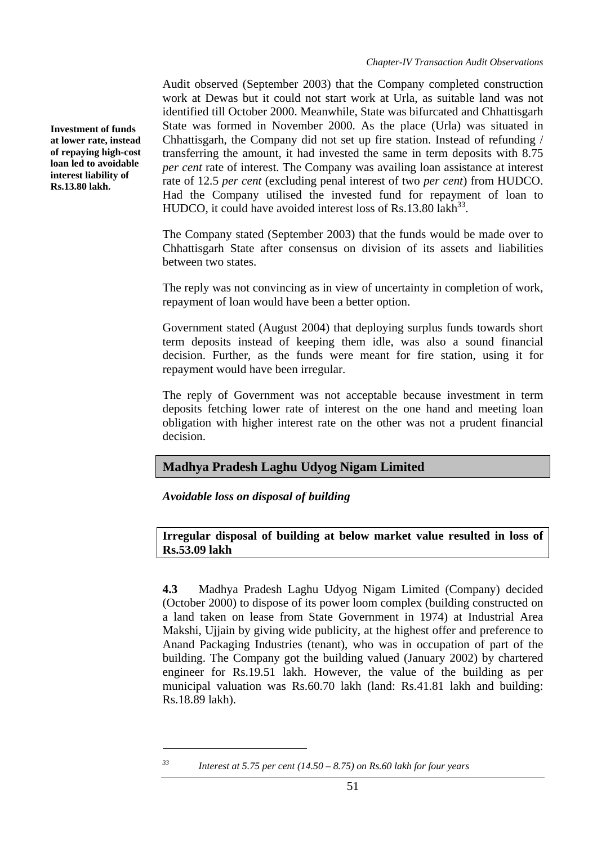Audit observed (September 2003) that the Company completed construction work at Dewas but it could not start work at Urla, as suitable land was not identified till October 2000. Meanwhile, State was bifurcated and Chhattisgarh State was formed in November 2000. As the place (Urla) was situated in Chhattisgarh, the Company did not set up fire station. Instead of refunding / transferring the amount, it had invested the same in term deposits with 8.75 *per cent* rate of interest. The Company was availing loan assistance at interest rate of 12.5 *per cent* (excluding penal interest of two *per cent*) from HUDCO. Had the Company utilised the invested fund for repayment of loan to HUDCO, it could have avoided interest loss of Rs.13.80 lakh<sup>33</sup>.

The Company stated (September 2003) that the funds would be made over to Chhattisgarh State after consensus on division of its assets and liabilities between two states.

The reply was not convincing as in view of uncertainty in completion of work, repayment of loan would have been a better option.

Government stated (August 2004) that deploying surplus funds towards short term deposits instead of keeping them idle, was also a sound financial decision. Further, as the funds were meant for fire station, using it for repayment would have been irregular.

The reply of Government was not acceptable because investment in term deposits fetching lower rate of interest on the one hand and meeting loan obligation with higher interest rate on the other was not a prudent financial decision.

# **Madhya Pradesh Laghu Udyog Nigam Limited**

*Avoidable loss on disposal of building* 

 $\overline{a}$ 

# **Irregular disposal of building at below market value resulted in loss of Rs.53.09 lakh**

**4.3** Madhya Pradesh Laghu Udyog Nigam Limited (Company) decided (October 2000) to dispose of its power loom complex (building constructed on a land taken on lease from State Government in 1974) at Industrial Area Makshi, Ujiain by giving wide publicity, at the highest offer and preference to Anand Packaging Industries (tenant), who was in occupation of part of the building. The Company got the building valued (January 2002) by chartered engineer for Rs.19.51 lakh. However, the value of the building as per municipal valuation was Rs.60.70 lakh (land: Rs.41.81 lakh and building: Rs.18.89 lakh).

**Investment of funds at lower rate, instead of repaying high-cost loan led to avoidable interest liability of Rs.13.80 lakh.** 

*<sup>33</sup> Interest at 5.75 per cent (14.50 – 8.75) on Rs.60 lakh for four years*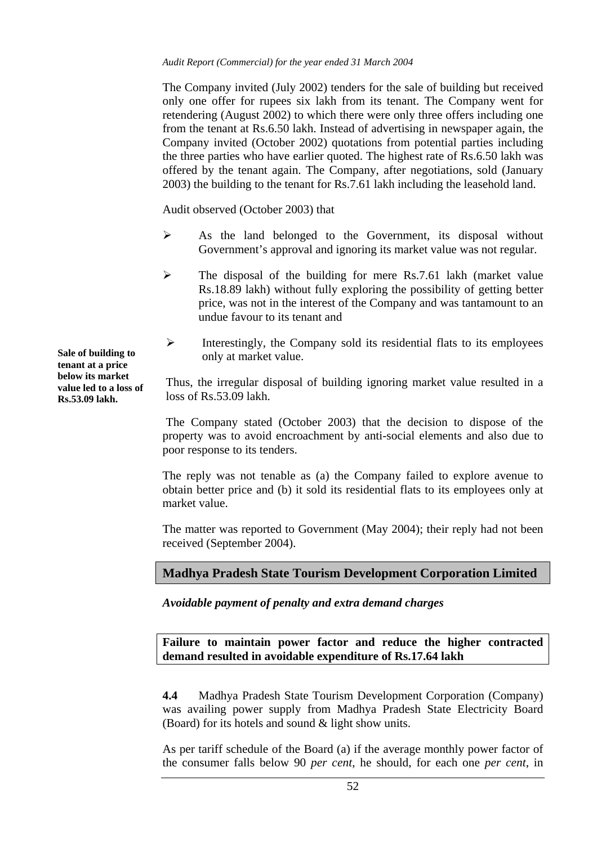The Company invited (July 2002) tenders for the sale of building but received only one offer for rupees six lakh from its tenant. The Company went for retendering (August 2002) to which there were only three offers including one from the tenant at Rs.6.50 lakh. Instead of advertising in newspaper again, the Company invited (October 2002) quotations from potential parties including the three parties who have earlier quoted. The highest rate of Rs.6.50 lakh was offered by the tenant again. The Company, after negotiations, sold (January 2003) the building to the tenant for Rs.7.61 lakh including the leasehold land.

Audit observed (October 2003) that

- $\triangleright$  As the land belonged to the Government, its disposal without Government's approval and ignoring its market value was not regular.
- $\triangleright$  The disposal of the building for mere Rs.7.61 lakh (market value) Rs.18.89 lakh) without fully exploring the possibility of getting better price, was not in the interest of the Company and was tantamount to an undue favour to its tenant and
- ¾ Interestingly, the Company sold its residential flats to its employees only at market value. **Sale of building to**

Thus, the irregular disposal of building ignoring market value resulted in a loss of Rs.53.09 lakh.

The Company stated (October 2003) that the decision to dispose of the property was to avoid encroachment by anti-social elements and also due to poor response to its tenders.

The reply was not tenable as (a) the Company failed to explore avenue to obtain better price and (b) it sold its residential flats to its employees only at market value.

The matter was reported to Government (May 2004); their reply had not been received (September 2004).

# **Madhya Pradesh State Tourism Development Corporation Limited**

*Avoidable payment of penalty and extra demand charges* 

**Failure to maintain power factor and reduce the higher contracted demand resulted in avoidable expenditure of Rs.17.64 lakh** 

**4.4** Madhya Pradesh State Tourism Development Corporation (Company) was availing power supply from Madhya Pradesh State Electricity Board (Board) for its hotels and sound & light show units.

As per tariff schedule of the Board (a) if the average monthly power factor of the consumer falls below 90 *per cent*, he should, for each one *per cent*, in

**tenant at a price below its market value led to a loss of Rs.53.09 lakh.**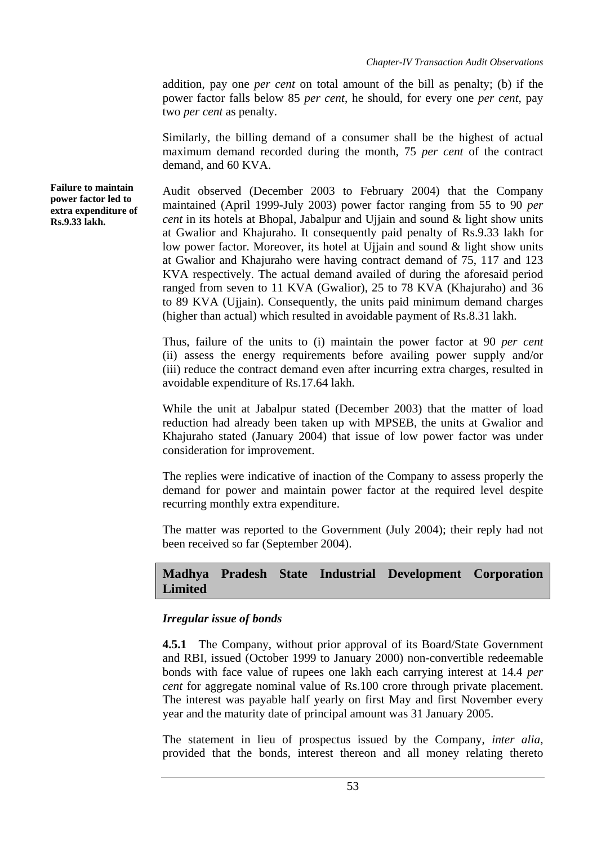addition, pay one *per cent* on total amount of the bill as penalty; (b) if the power factor falls below 85 *per cent*, he should, for every one *per cent*, pay two *per cent* as penalty.

Similarly, the billing demand of a consumer shall be the highest of actual maximum demand recorded during the month, 75 *per cent* of the contract demand, and 60 KVA.

Audit observed (December 2003 to February 2004) that the Company maintained (April 1999-July 2003) power factor ranging from 55 to 90 *per cent* in its hotels at Bhopal, Jabalpur and Ujjain and sound & light show units at Gwalior and Khajuraho. It consequently paid penalty of Rs.9.33 lakh for low power factor. Moreover, its hotel at Ujjain and sound & light show units at Gwalior and Khajuraho were having contract demand of 75, 117 and 123 KVA respectively. The actual demand availed of during the aforesaid period ranged from seven to 11 KVA (Gwalior), 25 to 78 KVA (Khajuraho) and 36 to 89 KVA (Ujjain). Consequently, the units paid minimum demand charges (higher than actual) which resulted in avoidable payment of Rs.8.31 lakh.

Thus, failure of the units to (i) maintain the power factor at 90 *per cent* (ii) assess the energy requirements before availing power supply and/or (iii) reduce the contract demand even after incurring extra charges, resulted in avoidable expenditure of Rs.17.64 lakh.

While the unit at Jabalpur stated (December 2003) that the matter of load reduction had already been taken up with MPSEB, the units at Gwalior and Khajuraho stated (January 2004) that issue of low power factor was under consideration for improvement.

The replies were indicative of inaction of the Company to assess properly the demand for power and maintain power factor at the required level despite recurring monthly extra expenditure.

The matter was reported to the Government (July 2004); their reply had not been received so far (September 2004).

# **Madhya Pradesh State Industrial Development Corporation Limited**

## *Irregular issue of bonds*

**4.5.1** The Company, without prior approval of its Board/State Government and RBI, issued (October 1999 to January 2000) non-convertible redeemable bonds with face value of rupees one lakh each carrying interest at 14.4 *per cent* for aggregate nominal value of Rs.100 crore through private placement. The interest was payable half yearly on first May and first November every year and the maturity date of principal amount was 31 January 2005.

The statement in lieu of prospectus issued by the Company, *inter alia*, provided that the bonds, interest thereon and all money relating thereto

**Failure to maintain power factor led to extra expenditure of Rs.9.33 lakh.**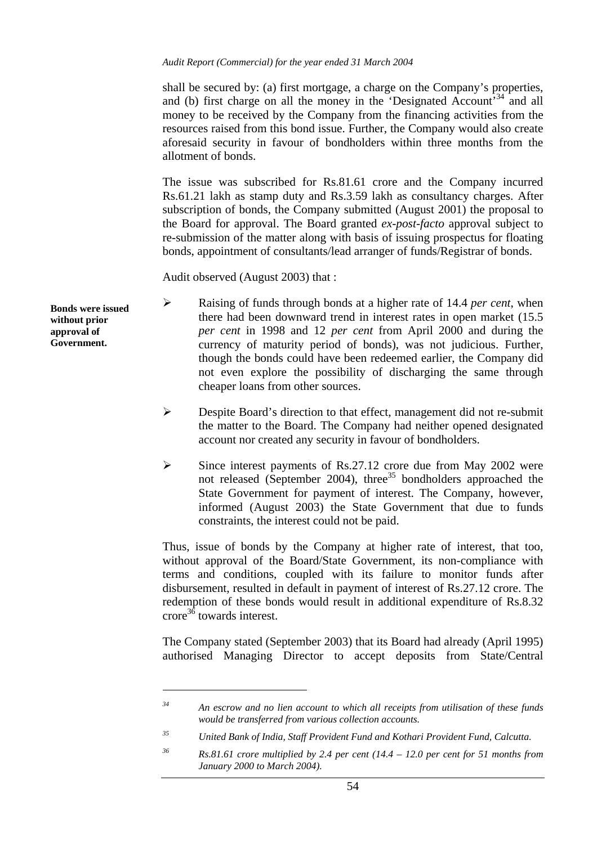shall be secured by: (a) first mortgage, a charge on the Company's properties, and (b) first charge on all the money in the 'Designated Account'<sup>34</sup> and all money to be received by the Company from the financing activities from the resources raised from this bond issue. Further, the Company would also create aforesaid security in favour of bondholders within three months from the allotment of bonds.

The issue was subscribed for Rs.81.61 crore and the Company incurred Rs.61.21 lakh as stamp duty and Rs.3.59 lakh as consultancy charges. After subscription of bonds, the Company submitted (August 2001) the proposal to the Board for approval. The Board granted *ex-post-facto* approval subject to re-submission of the matter along with basis of issuing prospectus for floating bonds, appointment of consultants/lead arranger of funds/Registrar of bonds.

Audit observed (August 2003) that :

- ¾ Raising of funds through bonds at a higher rate of 14.4 *per cent*, when there had been downward trend in interest rates in open market (15.5 *per cent* in 1998 and 12 *per cent* from April 2000 and during the currency of maturity period of bonds), was not judicious. Further, though the bonds could have been redeemed earlier, the Company did not even explore the possibility of discharging the same through cheaper loans from other sources.
	- $\triangleright$  Despite Board's direction to that effect, management did not re-submit the matter to the Board. The Company had neither opened designated account nor created any security in favour of bondholders.
	- ¾ Since interest payments of Rs.27.12 crore due from May 2002 were not released (September 2004), three<sup>35</sup> bondholders approached the State Government for payment of interest. The Company, however, informed (August 2003) the State Government that due to funds constraints, the interest could not be paid.

Thus, issue of bonds by the Company at higher rate of interest, that too, without approval of the Board/State Government, its non-compliance with terms and conditions, coupled with its failure to monitor funds after disbursement, resulted in default in payment of interest of Rs.27.12 crore. The redemption of these bonds would result in additional expenditure of Rs.8.32 crore<sup>36</sup> towards interest.

The Company stated (September 2003) that its Board had already (April 1995) authorised Managing Director to accept deposits from State/Central

**Bonds were issued without prior approval of Government.** 

 $\overline{a}$ 

*<sup>34</sup> An escrow and no lien account to which all receipts from utilisation of these funds would be transferred from various collection accounts.* 

*<sup>35</sup> United Bank of India, Staff Provident Fund and Kothari Provident Fund, Calcutta.* 

*<sup>36</sup> Rs.81.61 crore multiplied by 2.4 per cent (14.4 – 12.0 per cent for 51 months from January 2000 to March 2004).*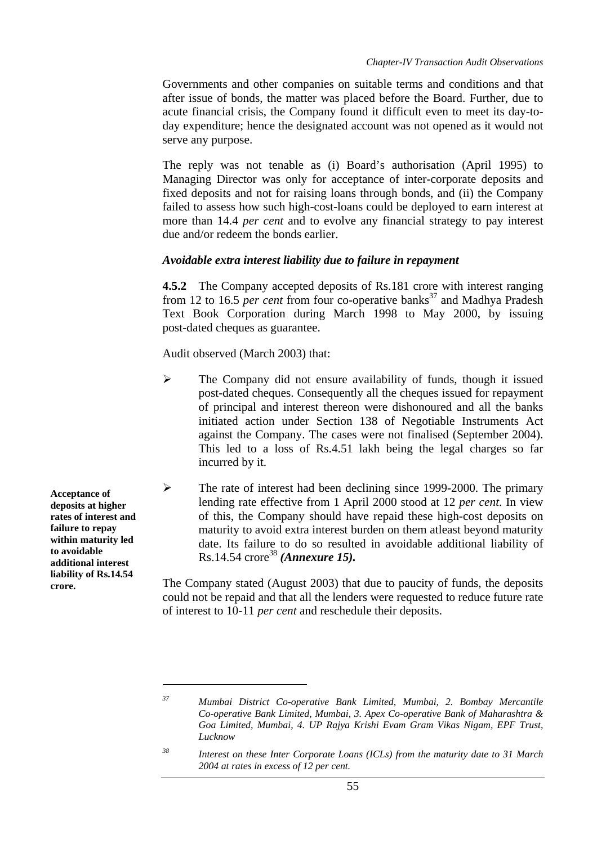Governments and other companies on suitable terms and conditions and that after issue of bonds, the matter was placed before the Board. Further, due to acute financial crisis, the Company found it difficult even to meet its day-today expenditure; hence the designated account was not opened as it would not serve any purpose.

The reply was not tenable as (i) Board's authorisation (April 1995) to Managing Director was only for acceptance of inter-corporate deposits and fixed deposits and not for raising loans through bonds, and (ii) the Company failed to assess how such high-cost-loans could be deployed to earn interest at more than 14.4 *per cent* and to evolve any financial strategy to pay interest due and/or redeem the bonds earlier.

# *Avoidable extra interest liability due to failure in repayment*

**4.5.2** The Company accepted deposits of Rs.181 crore with interest ranging from 12 to 16.5 *per cent* from four co-operative banks<sup>37</sup> and Madhya Pradesh Text Book Corporation during March 1998 to May 2000, by issuing post-dated cheques as guarantee.

Audit observed (March 2003) that:

- ¾ The Company did not ensure availability of funds, though it issued post-dated cheques. Consequently all the cheques issued for repayment of principal and interest thereon were dishonoured and all the banks initiated action under Section 138 of Negotiable Instruments Act against the Company. The cases were not finalised (September 2004). This led to a loss of Rs.4.51 lakh being the legal charges so far incurred by it.
- $\triangleright$  The rate of interest had been declining since 1999-2000. The primary lending rate effective from 1 April 2000 stood at 12 *per cent*. In view of this, the Company should have repaid these high-cost deposits on maturity to avoid extra interest burden on them atleast beyond maturity date. Its failure to do so resulted in avoidable additional liability of Rs.14.54 crore<sup>38</sup> (Annexure 15).

**crore.** The Company stated (August 2003) that due to paucity of funds, the deposits could not be repaid and that all the lenders were requested to reduce future rate of interest to 10-11 *per cent* and reschedule their deposits.

**Acceptance of deposits at higher rates of interest and failure to repay within maturity led to avoidable additional interest liability of Rs.14.54**

 $\overline{a}$ 

*<sup>37</sup> Mumbai District Co-operative Bank Limited, Mumbai, 2. Bombay Mercantile Co-operative Bank Limited, Mumbai, 3. Apex Co-operative Bank of Maharashtra & Goa Limited, Mumbai, 4. UP Rajya Krishi Evam Gram Vikas Nigam, EPF Trust, Lucknow*

*<sup>38</sup> Interest on these Inter Corporate Loans (ICLs) from the maturity date to 31 March 2004 at rates in excess of 12 per cent.*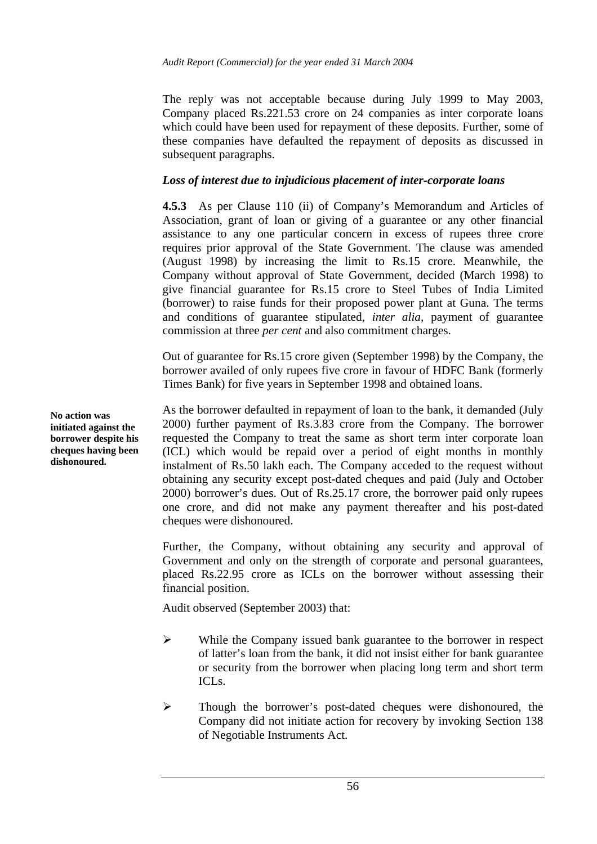The reply was not acceptable because during July 1999 to May 2003, Company placed Rs.221.53 crore on 24 companies as inter corporate loans which could have been used for repayment of these deposits. Further, some of these companies have defaulted the repayment of deposits as discussed in subsequent paragraphs.

#### *Loss of interest due to injudicious placement of inter-corporate loans*

**4.5.3** As per Clause 110 (ii) of Company's Memorandum and Articles of Association, grant of loan or giving of a guarantee or any other financial assistance to any one particular concern in excess of rupees three crore requires prior approval of the State Government. The clause was amended (August 1998) by increasing the limit to Rs.15 crore. Meanwhile, the Company without approval of State Government, decided (March 1998) to give financial guarantee for Rs.15 crore to Steel Tubes of India Limited (borrower) to raise funds for their proposed power plant at Guna. The terms and conditions of guarantee stipulated, *inter alia*, payment of guarantee commission at three *per cent* and also commitment charges.

Out of guarantee for Rs.15 crore given (September 1998) by the Company, the borrower availed of only rupees five crore in favour of HDFC Bank (formerly Times Bank) for five years in September 1998 and obtained loans.

As the borrower defaulted in repayment of loan to the bank, it demanded (July 2000) further payment of Rs.3.83 crore from the Company. The borrower requested the Company to treat the same as short term inter corporate loan (ICL) which would be repaid over a period of eight months in monthly instalment of Rs.50 lakh each. The Company acceded to the request without obtaining any security except post-dated cheques and paid (July and October 2000) borrower's dues. Out of Rs.25.17 crore, the borrower paid only rupees one crore, and did not make any payment thereafter and his post-dated cheques were dishonoured.

Further, the Company, without obtaining any security and approval of Government and only on the strength of corporate and personal guarantees, placed Rs.22.95 crore as ICLs on the borrower without assessing their financial position.

Audit observed (September 2003) that:

- ¾ While the Company issued bank guarantee to the borrower in respect of latter's loan from the bank, it did not insist either for bank guarantee or security from the borrower when placing long term and short term ICLs.
- ¾ Though the borrower's post-dated cheques were dishonoured, the Company did not initiate action for recovery by invoking Section 138 of Negotiable Instruments Act.

**No action was initiated against the borrower despite his cheques having been dishonoured.**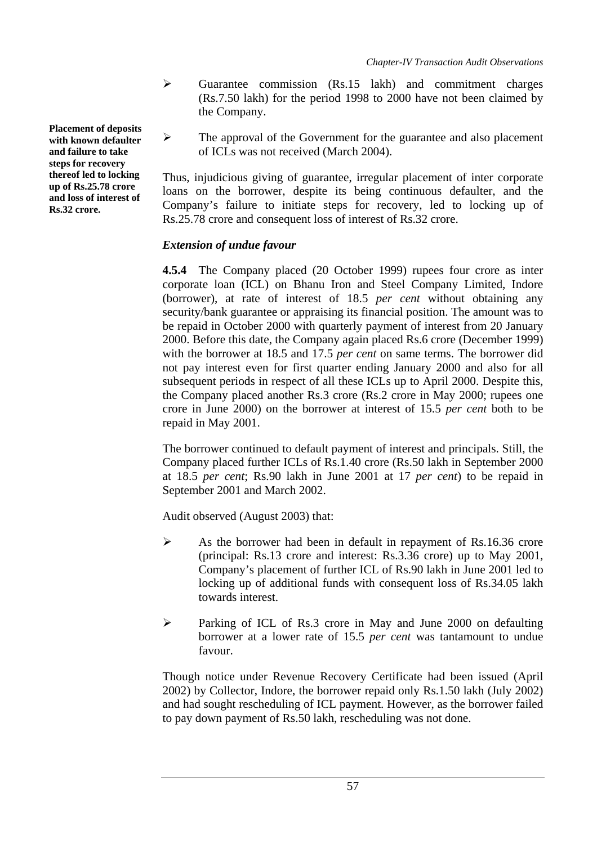- $\triangleright$  Guarantee commission (Rs.15 lakh) and commitment charges (Rs.7.50 lakh) for the period 1998 to 2000 have not been claimed by the Company.
- $\triangleright$  The approval of the Government for the guarantee and also placement of ICLs was not received (March 2004).

Thus, injudicious giving of guarantee, irregular placement of inter corporate loans on the borrower, despite its being continuous defaulter, and the Company's failure to initiate steps for recovery, led to locking up of Rs.25.78 crore and consequent loss of interest of Rs.32 crore.

# *Extension of undue favour*

**4.5.4** The Company placed (20 October 1999) rupees four crore as inter corporate loan (ICL) on Bhanu Iron and Steel Company Limited, Indore (borrower), at rate of interest of 18.5 *per cent* without obtaining any security/bank guarantee or appraising its financial position. The amount was to be repaid in October 2000 with quarterly payment of interest from 20 January 2000. Before this date, the Company again placed Rs.6 crore (December 1999) with the borrower at 18.5 and 17.5 *per cent* on same terms. The borrower did not pay interest even for first quarter ending January 2000 and also for all subsequent periods in respect of all these ICLs up to April 2000. Despite this, the Company placed another Rs.3 crore (Rs.2 crore in May 2000; rupees one crore in June 2000) on the borrower at interest of 15.5 *per cent* both to be repaid in May 2001.

The borrower continued to default payment of interest and principals. Still, the Company placed further ICLs of Rs.1.40 crore (Rs.50 lakh in September 2000 at 18.5 *per cent*; Rs.90 lakh in June 2001 at 17 *per cent*) to be repaid in September 2001 and March 2002.

Audit observed (August 2003) that:

- $\triangleright$  As the borrower had been in default in repayment of Rs.16.36 crore (principal: Rs.13 crore and interest: Rs.3.36 crore) up to May 2001, Company's placement of further ICL of Rs.90 lakh in June 2001 led to locking up of additional funds with consequent loss of Rs.34.05 lakh towards interest.
- ¾ Parking of ICL of Rs.3 crore in May and June 2000 on defaulting borrower at a lower rate of 15.5 *per cent* was tantamount to undue favour.

Though notice under Revenue Recovery Certificate had been issued (April 2002) by Collector, Indore, the borrower repaid only Rs.1.50 lakh (July 2002) and had sought rescheduling of ICL payment. However, as the borrower failed to pay down payment of Rs.50 lakh, rescheduling was not done.

**Placement of deposits with known defaulter and failure to take steps for recovery thereof led to locking up of Rs.25.78 crore and loss of interest of Rs.32 crore.**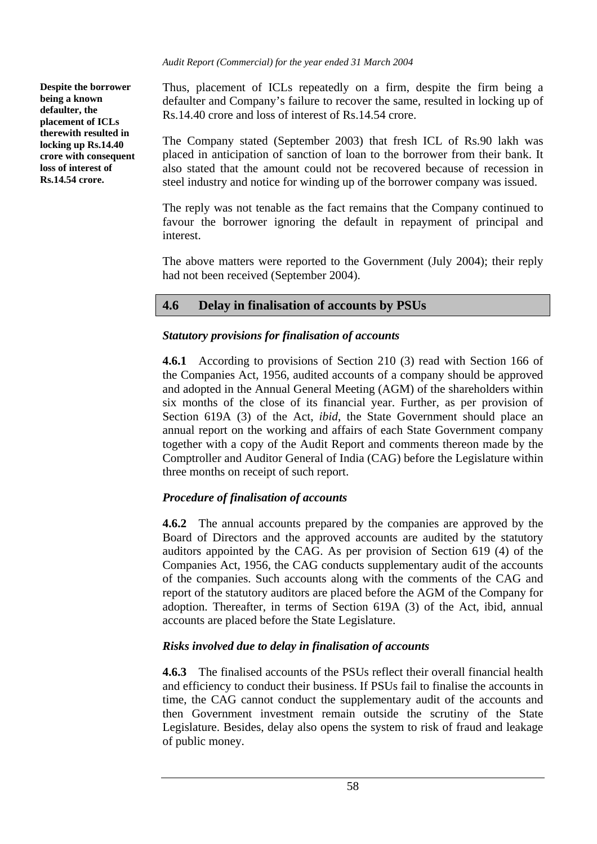**Despite the borrower being a known defaulter, the placement of ICLs therewith resulted in locking up Rs.14.40 crore with consequent loss of interest of Rs.14.54 crore.** 

Thus, placement of ICLs repeatedly on a firm, despite the firm being a defaulter and Company's failure to recover the same, resulted in locking up of Rs.14.40 crore and loss of interest of Rs.14.54 crore.

The Company stated (September 2003) that fresh ICL of Rs.90 lakh was placed in anticipation of sanction of loan to the borrower from their bank. It also stated that the amount could not be recovered because of recession in steel industry and notice for winding up of the borrower company was issued.

The reply was not tenable as the fact remains that the Company continued to favour the borrower ignoring the default in repayment of principal and interest.

The above matters were reported to the Government (July 2004); their reply had not been received (September 2004).

# **4.6 Delay in finalisation of accounts by PSUs**

# *Statutory provi***s***ions for finalisation of accounts*

**4.6.1** According to provisions of Section 210 (3) read with Section 166 of the Companies Act, 1956, audited accounts of a company should be approved and adopted in the Annual General Meeting (AGM) of the shareholders within six months of the close of its financial year. Further, as per provision of Section 619A (3) of the Act, *ibid*, the State Government should place an annual report on the working and affairs of each State Government company together with a copy of the Audit Report and comments thereon made by the Comptroller and Auditor General of India (CAG) before the Legislature within three months on receipt of such report.

# *Procedure of finalisation of accounts*

**4.6.2** The annual accounts prepared by the companies are approved by the Board of Directors and the approved accounts are audited by the statutory auditors appointed by the CAG. As per provision of Section 619 (4) of the Companies Act, 1956, the CAG conducts supplementary audit of the accounts of the companies. Such accounts along with the comments of the CAG and report of the statutory auditors are placed before the AGM of the Company for adoption. Thereafter, in terms of Section 619A (3) of the Act, ibid, annual accounts are placed before the State Legislature.

# *Risks involved due to delay in finalisation of accounts*

**4.6.3** The finalised accounts of the PSUs reflect their overall financial health and efficiency to conduct their business. If PSUs fail to finalise the accounts in time, the CAG cannot conduct the supplementary audit of the accounts and then Government investment remain outside the scrutiny of the State Legislature. Besides, delay also opens the system to risk of fraud and leakage of public money.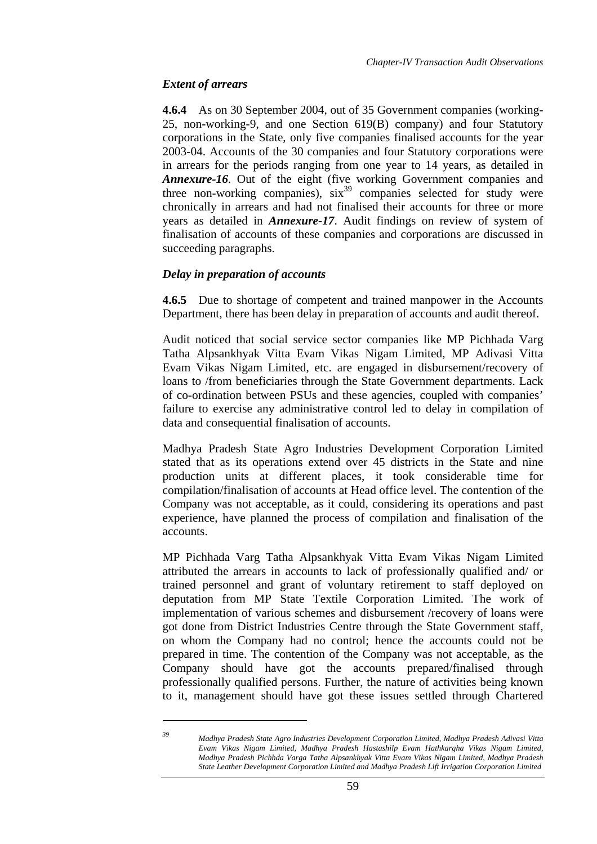## *Extent of arrears*

 $\overline{a}$ 

**4.6.4** As on 30 September 2004, out of 35 Government companies (working-25, non-working-9, and one Section 619(B) company) and four Statutory corporations in the State, only five companies finalised accounts for the year 2003-04. Accounts of the 30 companies and four Statutory corporations were in arrears for the periods ranging from one year to 14 years, as detailed in *Annexure-16*. Out of the eight (five working Government companies and three non-working companies),  $\sin^{39}$  companies selected for study were chronically in arrears and had not finalised their accounts for three or more years as detailed in *Annexure-17*. Audit findings on review of system of finalisation of accounts of these companies and corporations are discussed in succeeding paragraphs.

## *Delay in preparation of accounts*

**4.6.5** Due to shortage of competent and trained manpower in the Accounts Department, there has been delay in preparation of accounts and audit thereof.

Audit noticed that social service sector companies like MP Pichhada Varg Tatha Alpsankhyak Vitta Evam Vikas Nigam Limited, MP Adivasi Vitta Evam Vikas Nigam Limited, etc. are engaged in disbursement/recovery of loans to /from beneficiaries through the State Government departments. Lack of co-ordination between PSUs and these agencies, coupled with companies' failure to exercise any administrative control led to delay in compilation of data and consequential finalisation of accounts.

Madhya Pradesh State Agro Industries Development Corporation Limited stated that as its operations extend over 45 districts in the State and nine production units at different places, it took considerable time for compilation/finalisation of accounts at Head office level. The contention of the Company was not acceptable, as it could, considering its operations and past experience, have planned the process of compilation and finalisation of the accounts.

MP Pichhada Varg Tatha Alpsankhyak Vitta Evam Vikas Nigam Limited attributed the arrears in accounts to lack of professionally qualified and/ or trained personnel and grant of voluntary retirement to staff deployed on deputation from MP State Textile Corporation Limited. The work of implementation of various schemes and disbursement /recovery of loans were got done from District Industries Centre through the State Government staff, on whom the Company had no control; hence the accounts could not be prepared in time. The contention of the Company was not acceptable, as the Company should have got the accounts prepared/finalised through professionally qualified persons. Further, the nature of activities being known to it, management should have got these issues settled through Chartered

*<sup>39</sup> Madhya Pradesh State Agro Industries Development Corporation Limited, Madhya Pradesh Adivasi Vitta Evam Vikas Nigam Limited, Madhya Pradesh Hastashilp Evam Hathkargha Vikas Nigam Limited, Madhya Pradesh Pichhda Varga Tatha Alpsankhyak Vitta Evam Vikas Nigam Limited, Madhya Pradesh State Leather Development Corporation Limited and Madhya Pradesh Lift Irrigation Corporation Limited*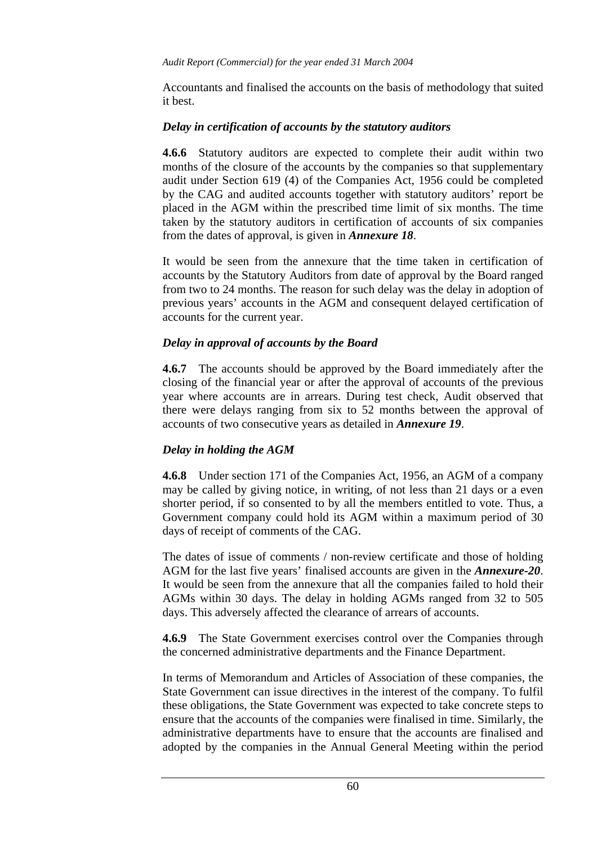Accountants and finalised the accounts on the basis of methodology that suited it best.

#### *Delay in certification of accounts by the statutory auditors*

**4.6.6** Statutory auditors are expected to complete their audit within two months of the closure of the accounts by the companies so that supplementary audit under Section 619 (4) of the Companies Act, 1956 could be completed by the CAG and audited accounts together with statutory auditors' report be placed in the AGM within the prescribed time limit of six months. The time taken by the statutory auditors in certification of accounts of six companies from the dates of approval, is given in *Annexure 18*.

It would be seen from the annexure that the time taken in certification of accounts by the Statutory Auditors from date of approval by the Board ranged from two to 24 months. The reason for such delay was the delay in adoption of previous years' accounts in the AGM and consequent delayed certification of accounts for the current year.

## *Delay in approval of accounts by the Board*

**4.6.7** The accounts should be approved by the Board immediately after the closing of the financial year or after the approval of accounts of the previous year where accounts are in arrears. During test check, Audit observed that there were delays ranging from six to 52 months between the approval of accounts of two consecutive years as detailed in *Annexure 19*.

## *Delay in holding the AGM*

**4.6.8** Under section 171 of the Companies Act, 1956, an AGM of a company may be called by giving notice, in writing, of not less than 21 days or a even shorter period, if so consented to by all the members entitled to vote. Thus, a Government company could hold its AGM within a maximum period of 30 days of receipt of comments of the CAG.

The dates of issue of comments / non-review certificate and those of holding AGM for the last five years' finalised accounts are given in the *Annexure-20*. It would be seen from the annexure that all the companies failed to hold their AGMs within 30 days. The delay in holding AGMs ranged from 32 to 505 days. This adversely affected the clearance of arrears of accounts.

**4.6.9** The State Government exercises control over the Companies through the concerned administrative departments and the Finance Department.

In terms of Memorandum and Articles of Association of these companies, the State Government can issue directives in the interest of the company. To fulfil these obligations, the State Government was expected to take concrete steps to ensure that the accounts of the companies were finalised in time. Similarly, the administrative departments have to ensure that the accounts are finalised and adopted by the companies in the Annual General Meeting within the period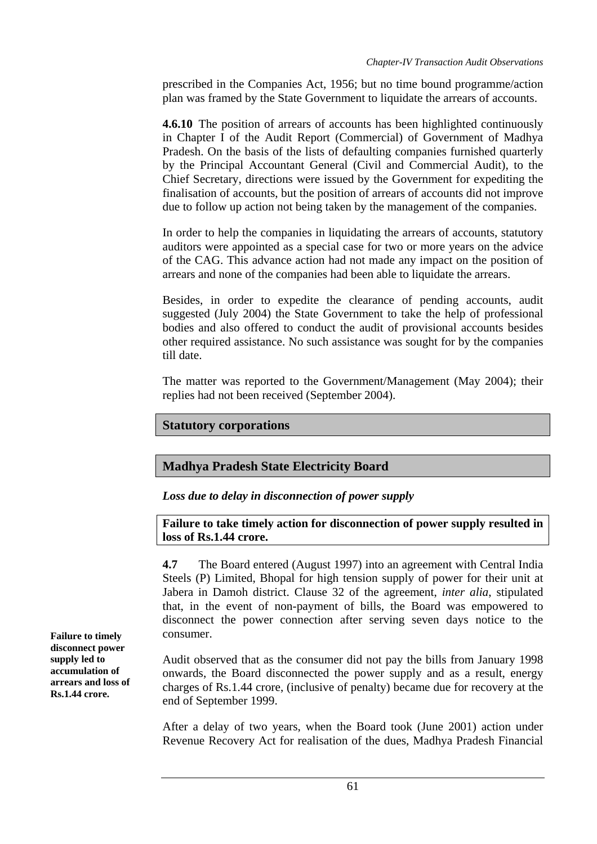prescribed in the Companies Act, 1956; but no time bound programme/action plan was framed by the State Government to liquidate the arrears of accounts.

**4.6.10** The position of arrears of accounts has been highlighted continuously in Chapter I of the Audit Report (Commercial) of Government of Madhya Pradesh. On the basis of the lists of defaulting companies furnished quarterly by the Principal Accountant General (Civil and Commercial Audit), to the Chief Secretary, directions were issued by the Government for expediting the finalisation of accounts, but the position of arrears of accounts did not improve due to follow up action not being taken by the management of the companies.

In order to help the companies in liquidating the arrears of accounts, statutory auditors were appointed as a special case for two or more years on the advice of the CAG. This advance action had not made any impact on the position of arrears and none of the companies had been able to liquidate the arrears.

Besides, in order to expedite the clearance of pending accounts, audit suggested (July 2004) the State Government to take the help of professional bodies and also offered to conduct the audit of provisional accounts besides other required assistance. No such assistance was sought for by the companies till date.

The matter was reported to the Government/Management (May 2004); their replies had not been received (September 2004).

## **Statutory corporations**

## **Madhya Pradesh State Electricity Board**

*Loss due to delay in disconnection of power supply* 

**Failure to take timely action for disconnection of power supply resulted in loss of Rs.1.44 crore.** 

**4.7** The Board entered (August 1997) into an agreement with Central India Steels (P) Limited, Bhopal for high tension supply of power for their unit at Jabera in Damoh district. Clause 32 of the agreement, *inter alia*, stipulated that, in the event of non-payment of bills, the Board was empowered to disconnect the power connection after serving seven days notice to the

Audit observed that as the consumer did not pay the bills from January 1998 onwards, the Board disconnected the power supply and as a result, energy charges of Rs.1.44 crore, (inclusive of penalty) became due for recovery at the end of September 1999.

After a delay of two years, when the Board took (June 2001) action under Revenue Recovery Act for realisation of the dues, Madhya Pradesh Financial

**Failure to timely** consumer. **disconnect power supply led to accumulation of arrears and loss of Rs.1.44 crore.**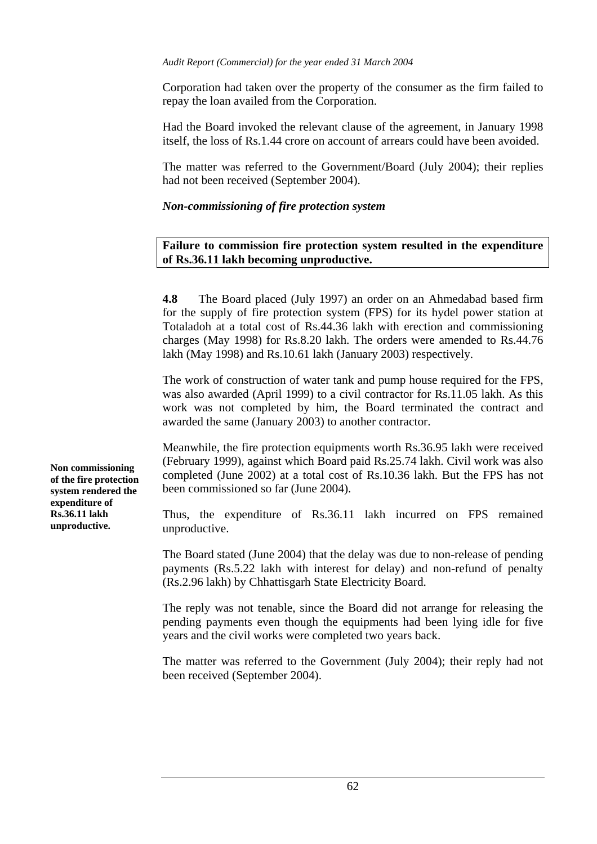#### *Audit Report (Commercial) for the year ended 31 March 2004*

Corporation had taken over the property of the consumer as the firm failed to repay the loan availed from the Corporation.

Had the Board invoked the relevant clause of the agreement, in January 1998 itself, the loss of Rs.1.44 crore on account of arrears could have been avoided.

The matter was referred to the Government/Board (July 2004); their replies had not been received (September 2004).

#### *Non-commissioning of fire protection system*

#### **Failure to commission fire protection system resulted in the expenditure of Rs.36.11 lakh becoming unproductive.**

**4.8** The Board placed (July 1997) an order on an Ahmedabad based firm for the supply of fire protection system (FPS) for its hydel power station at Totaladoh at a total cost of Rs.44.36 lakh with erection and commissioning charges (May 1998) for Rs.8.20 lakh. The orders were amended to Rs.44.76 lakh (May 1998) and Rs.10.61 lakh (January 2003) respectively.

The work of construction of water tank and pump house required for the FPS, was also awarded (April 1999) to a civil contractor for Rs.11.05 lakh. As this work was not completed by him, the Board terminated the contract and awarded the same (January 2003) to another contractor.

Meanwhile, the fire protection equipments worth Rs.36.95 lakh were received (February 1999), against which Board paid Rs.25.74 lakh. Civil work was also completed (June 2002) at a total cost of Rs.10.36 lakh. But the FPS has not been commissioned so far (June 2004).

Thus, the expenditure of Rs.36.11 lakh incurred on FPS remained unproductive.

The Board stated (June 2004) that the delay was due to non-release of pending payments (Rs.5.22 lakh with interest for delay) and non-refund of penalty (Rs.2.96 lakh) by Chhattisgarh State Electricity Board.

The reply was not tenable, since the Board did not arrange for releasing the pending payments even though the equipments had been lying idle for five years and the civil works were completed two years back.

The matter was referred to the Government (July 2004); their reply had not been received (September 2004).

**Non commissioning of the fire protection system rendered the expenditure of Rs.36.11 lakh unproductive.**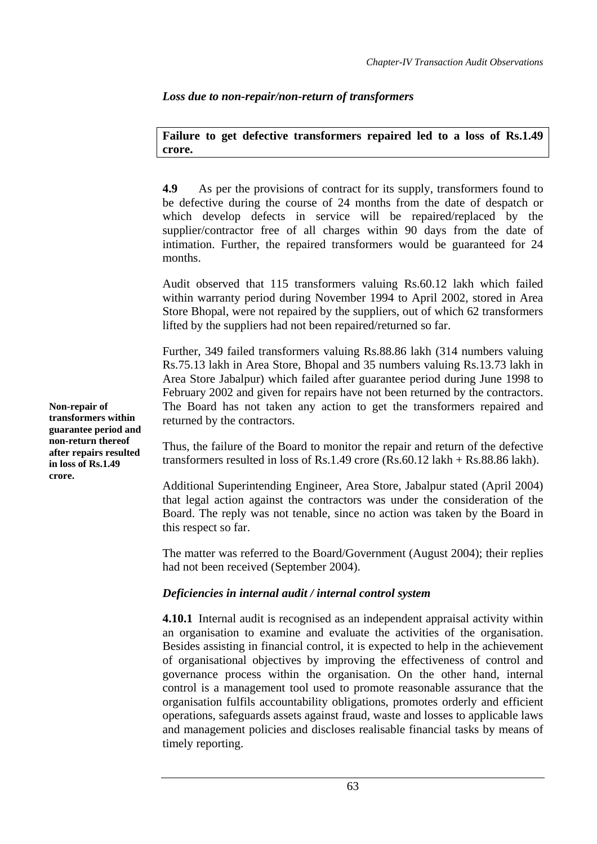*Loss due to non-repair/non-return of transformers* 

**Failure to get defective transformers repaired led to a loss of Rs.1.49 crore.** 

**4.9** As per the provisions of contract for its supply, transformers found to be defective during the course of 24 months from the date of despatch or which develop defects in service will be repaired/replaced by the supplier/contractor free of all charges within 90 days from the date of intimation. Further, the repaired transformers would be guaranteed for 24 months.

Audit observed that 115 transformers valuing Rs.60.12 lakh which failed within warranty period during November 1994 to April 2002, stored in Area Store Bhopal, were not repaired by the suppliers, out of which 62 transformers lifted by the suppliers had not been repaired/returned so far.

Further, 349 failed transformers valuing Rs.88.86 lakh (314 numbers valuing Rs.75.13 lakh in Area Store, Bhopal and 35 numbers valuing Rs.13.73 lakh in Area Store Jabalpur) which failed after guarantee period during June 1998 to February 2002 and given for repairs have not been returned by the contractors. The Board has not taken any action to get the transformers repaired and returned by the contractors.

Thus, the failure of the Board to monitor the repair and return of the defective transformers resulted in loss of Rs.1.49 crore (Rs.60.12 lakh + Rs.88.86 lakh).

Additional Superintending Engineer, Area Store, Jabalpur stated (April 2004) that legal action against the contractors was under the consideration of the Board. The reply was not tenable, since no action was taken by the Board in this respect so far.

The matter was referred to the Board/Government (August 2004); their replies had not been received (September 2004).

# *Deficiencies in internal audit / internal control system*

**4.10.1** Internal audit is recognised as an independent appraisal activity within an organisation to examine and evaluate the activities of the organisation. Besides assisting in financial control, it is expected to help in the achievement of organisational objectives by improving the effectiveness of control and governance process within the organisation. On the other hand, internal control is a management tool used to promote reasonable assurance that the organisation fulfils accountability obligations, promotes orderly and efficient operations, safeguards assets against fraud, waste and losses to applicable laws and management policies and discloses realisable financial tasks by means of timely reporting.

**Non-repair of transformers within guarantee period and non-return thereof after repairs resulted in loss of Rs.1.49 crore.**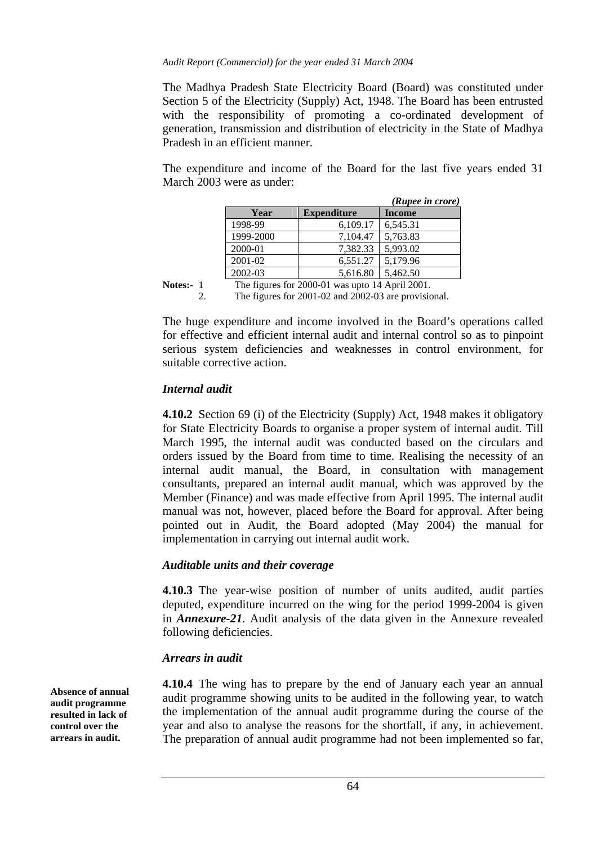#### *Audit Report (Commercial) for the year ended 31 March 2004*

The Madhya Pradesh State Electricity Board (Board) was constituted under Section 5 of the Electricity (Supply) Act, 1948. The Board has been entrusted with the responsibility of promoting a co-ordinated development of generation, transmission and distribution of electricity in the State of Madhya Pradesh in an efficient manner.

The expenditure and income of the Board for the last five years ended 31 March 2003 were as under:

|                                                    |                    | (Rupee in crore) |  |  |  |
|----------------------------------------------------|--------------------|------------------|--|--|--|
| Year                                               | <b>Expenditure</b> | <b>Income</b>    |  |  |  |
| 1998-99                                            | 6,109.17           | 6,545.31         |  |  |  |
| 1999-2000                                          | 7,104.47           | 5,763.83         |  |  |  |
| 2000-01                                            | 7,382.33           | 5,993.02         |  |  |  |
| 2001-02                                            | 6,551.27           | 5,179.96         |  |  |  |
| 2002-03                                            | 5,616.80           | 5,462.50         |  |  |  |
| The figures for $2000.01$ was upto 14 April $2001$ |                    |                  |  |  |  |

Notes:- 1 The figures for 2000-01 was upto 14 April 2001. 2. The figures for 2001-02 and 2002-03 are provisional.

The huge expenditure and income involved in the Board's operations called

for effective and efficient internal audit and internal control so as to pinpoint serious system deficiencies and weaknesses in control environment, for suitable corrective action.

# *Internal audit*

**4.10.2** Section 69 (i) of the Electricity (Supply) Act, 1948 makes it obligatory for State Electricity Boards to organise a proper system of internal audit. Till March 1995, the internal audit was conducted based on the circulars and orders issued by the Board from time to time. Realising the necessity of an internal audit manual, the Board, in consultation with management consultants, prepared an internal audit manual, which was approved by the Member (Finance) and was made effective from April 1995. The internal audit manual was not, however, placed before the Board for approval. After being pointed out in Audit, the Board adopted (May 2004) the manual for implementation in carrying out internal audit work.

## *Auditable units and their coverage*

**4.10.3** The year-wise position of number of units audited, audit parties deputed, expenditure incurred on the wing for the period 1999-2004 is given in *Annexure-21*. Audit analysis of the data given in the Annexure revealed following deficiencies.

## *Arrears in audit*

**4.10.4** The wing has to prepare by the end of January each year an annual audit programme showing units to be audited in the following year, to watch the implementation of the annual audit programme during the course of the year and also to analyse the reasons for the shortfall, if any, in achievement. The preparation of annual audit programme had not been implemented so far,

**Absence of annual audit programme resulted in lack of control over the arrears in audit.**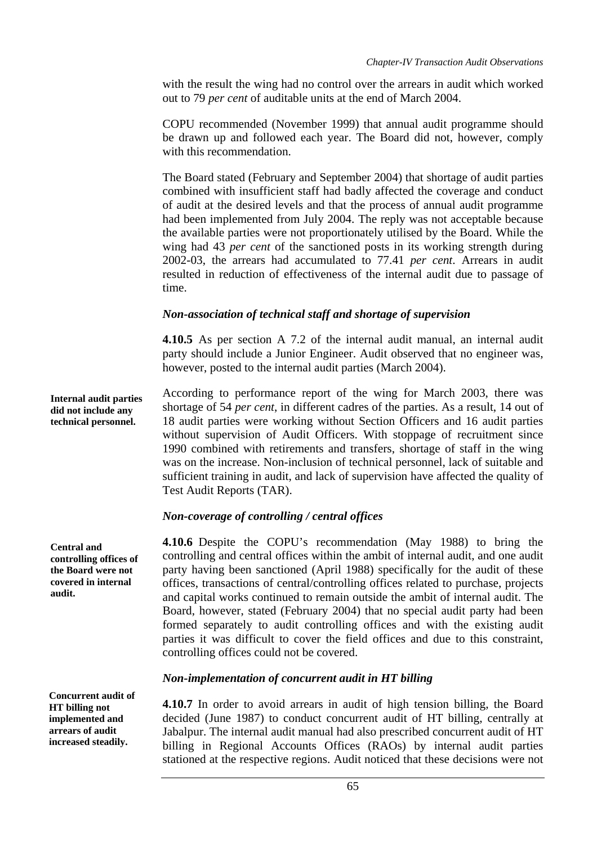with the result the wing had no control over the arrears in audit which worked out to 79 *per cent* of auditable units at the end of March 2004.

COPU recommended (November 1999) that annual audit programme should be drawn up and followed each year. The Board did not, however, comply with this recommendation.

The Board stated (February and September 2004) that shortage of audit parties combined with insufficient staff had badly affected the coverage and conduct of audit at the desired levels and that the process of annual audit programme had been implemented from July 2004. The reply was not acceptable because the available parties were not proportionately utilised by the Board. While the wing had 43 *per cent* of the sanctioned posts in its working strength during 2002-03, the arrears had accumulated to 77.41 *per cent*. Arrears in audit resulted in reduction of effectiveness of the internal audit due to passage of time.

# *Non-association of technical staff and shortage of supervision*

**4.10.5** As per section A 7.2 of the internal audit manual, an internal audit party should include a Junior Engineer. Audit observed that no engineer was, however, posted to the internal audit parties (March 2004).

According to performance report of the wing for March 2003, there was shortage of 54 *per cent*, in different cadres of the parties. As a result, 14 out of 18 audit parties were working without Section Officers and 16 audit parties without supervision of Audit Officers. With stoppage of recruitment since 1990 combined with retirements and transfers, shortage of staff in the wing was on the increase. Non-inclusion of technical personnel, lack of suitable and sufficient training in audit, and lack of supervision have affected the quality of Test Audit Reports (TAR). **Internal audit parties did not include any technical personnel.** 

# *Non-coverage of controlling / central offices*

**4.10.6** Despite the COPU's recommendation (May 1988) to bring the controlling and central offices within the ambit of internal audit, and one audit party having been sanctioned (April 1988) specifically for the audit of these offices, transactions of central/controlling offices related to purchase, projects and capital works continued to remain outside the ambit of internal audit. The Board, however, stated (February 2004) that no special audit party had been formed separately to audit controlling offices and with the existing audit parties it was difficult to cover the field offices and due to this constraint, controlling offices could not be covered.

# *Non-implementation of concurrent audit in HT billing*

**4.10.7** In order to avoid arrears in audit of high tension billing, the Board decided (June 1987) to conduct concurrent audit of HT billing, centrally at Jabalpur. The internal audit manual had also prescribed concurrent audit of HT billing in Regional Accounts Offices (RAOs) by internal audit parties stationed at the respective regions. Audit noticed that these decisions were not

**Central and controlling offices of the Board were not covered in internal audit.** 

**Concurrent audit of HT billing not implemented and arrears of audit increased steadily.**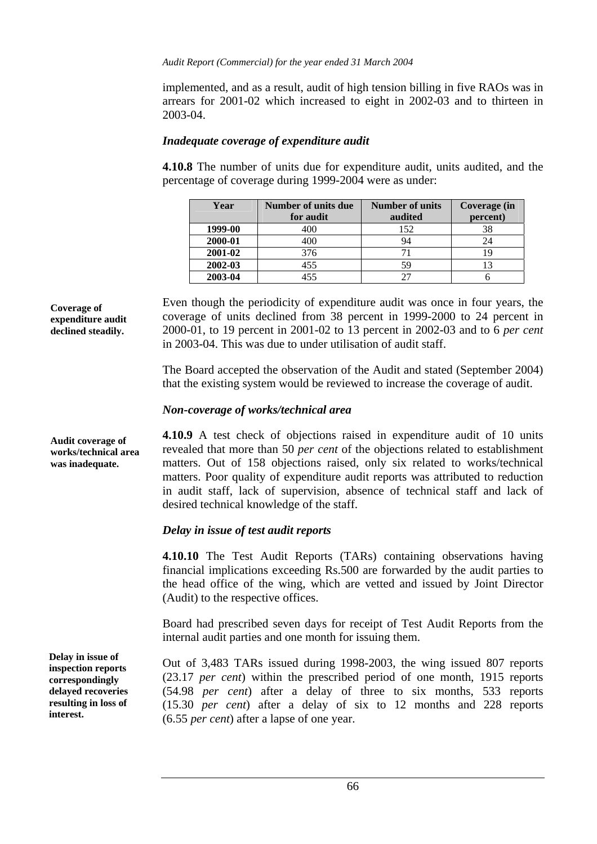implemented, and as a result, audit of high tension billing in five RAOs was in arrears for 2001-02 which increased to eight in 2002-03 and to thirteen in 2003-04.

#### *Inadequate coverage of expenditure audit*

**4.10.8** The number of units due for expenditure audit, units audited, and the percentage of coverage during 1999-2004 were as under:

| Year    | Number of units due | Number of units | Coverage (in |  |
|---------|---------------------|-----------------|--------------|--|
|         | for audit           | audited         | percent)     |  |
| 1999-00 | 400                 | 152             | 38           |  |
| 2000-01 | 400                 | 94              |              |  |
| 2001-02 | 376                 |                 |              |  |
| 2002-03 | 455                 | 59              |              |  |
| 2003-04 | 455                 |                 |              |  |

**Coverage of expenditure audit declined steadily.** 

Even though the periodicity of expenditure audit was once in four years, the coverage of units declined from 38 percent in 1999-2000 to 24 percent in 2000-01, to 19 percent in 2001-02 to 13 percent in 2002-03 and to 6 *per cent* in 2003-04. This was due to under utilisation of audit staff.

The Board accepted the observation of the Audit and stated (September 2004) that the existing system would be reviewed to increase the coverage of audit.

#### *Non-coverage of works/technical area*

**4.10.9** A test check of objections raised in expenditure audit of 10 units revealed that more than 50 *per cent* of the objections related to establishment matters. Out of 158 objections raised, only six related to works/technical matters. Poor quality of expenditure audit reports was attributed to reduction in audit staff, lack of supervision, absence of technical staff and lack of desired technical knowledge of the staff.

## *Delay in issue of test audit reports*

**4.10.10** The Test Audit Reports (TARs) containing observations having financial implications exceeding Rs.500 are forwarded by the audit parties to the head office of the wing, which are vetted and issued by Joint Director (Audit) to the respective offices.

Board had prescribed seven days for receipt of Test Audit Reports from the internal audit parties and one month for issuing them.

Out of 3,483 TARs issued during 1998-2003, the wing issued 807 reports (23.17 *per cent*) within the prescribed period of one month, 1915 reports (54.98 *per cent*) after a delay of three to six months, 533 reports (15.30 *per cent*) after a delay of six to 12 months and 228 reports (6.55 *per cent*) after a lapse of one year.

**Audit coverage of works/technical area was inadequate.** 

**Delay in issue of inspection reports correspondingly delayed recoveries resulting in loss of interest.**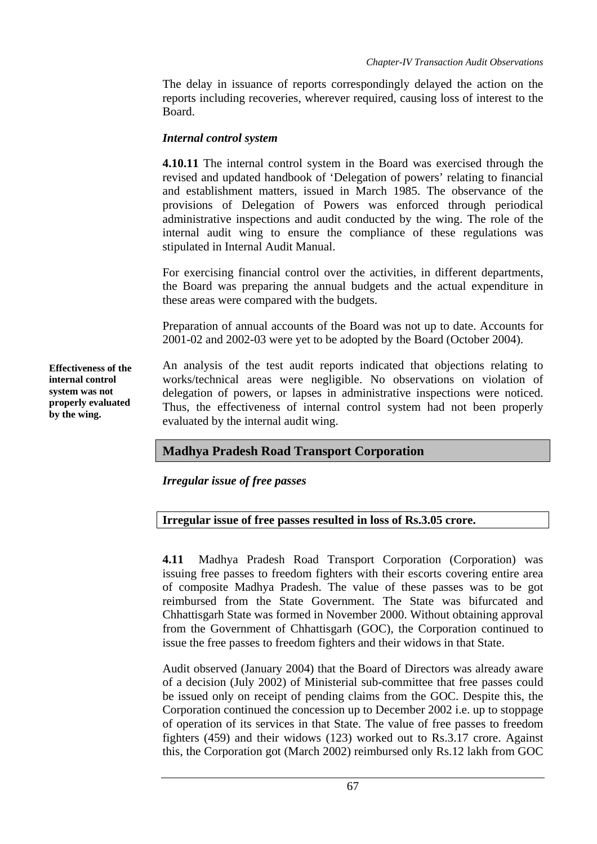The delay in issuance of reports correspondingly delayed the action on the reports including recoveries, wherever required, causing loss of interest to the Board.

#### *Internal control system*

**4.10.11** The internal control system in the Board was exercised through the revised and updated handbook of 'Delegation of powers' relating to financial and establishment matters, issued in March 1985. The observance of the provisions of Delegation of Powers was enforced through periodical administrative inspections and audit conducted by the wing. The role of the internal audit wing to ensure the compliance of these regulations was stipulated in Internal Audit Manual.

For exercising financial control over the activities, in different departments, the Board was preparing the annual budgets and the actual expenditure in these areas were compared with the budgets.

Preparation of annual accounts of the Board was not up to date. Accounts for 2001-02 and 2002-03 were yet to be adopted by the Board (October 2004).

**Effectiveness of the internal control system was not properly evaluated by the wing.** 

An analysis of the test audit reports indicated that objections relating to works/technical areas were negligible. No observations on violation of delegation of powers, or lapses in administrative inspections were noticed. Thus, the effectiveness of internal control system had not been properly evaluated by the internal audit wing.

# **Madhya Pradesh Road Transport Corporation**

*Irregular issue of free passes* 

#### **Irregular issue of free passes resulted in loss of Rs.3.05 crore.**

**4.11** Madhya Pradesh Road Transport Corporation (Corporation) was issuing free passes to freedom fighters with their escorts covering entire area of composite Madhya Pradesh. The value of these passes was to be got reimbursed from the State Government. The State was bifurcated and Chhattisgarh State was formed in November 2000. Without obtaining approval from the Government of Chhattisgarh (GOC), the Corporation continued to issue the free passes to freedom fighters and their widows in that State.

Audit observed (January 2004) that the Board of Directors was already aware of a decision (July 2002) of Ministerial sub-committee that free passes could be issued only on receipt of pending claims from the GOC. Despite this, the Corporation continued the concession up to December 2002 i.e. up to stoppage of operation of its services in that State. The value of free passes to freedom fighters (459) and their widows (123) worked out to Rs.3.17 crore. Against this, the Corporation got (March 2002) reimbursed only Rs.12 lakh from GOC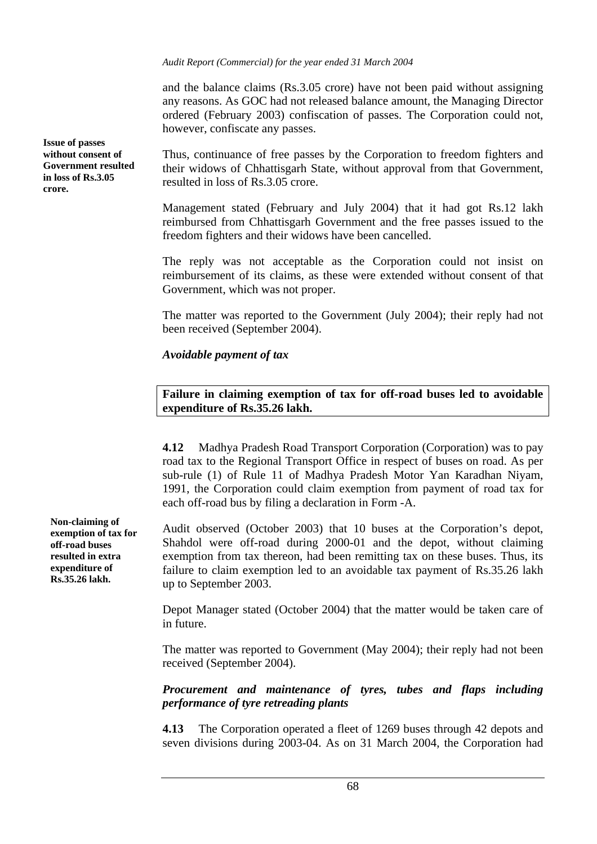*Audit Report (Commercial) for the year ended 31 March 2004*

and the balance claims (Rs.3.05 crore) have not been paid without assigning any reasons. As GOC had not released balance amount, the Managing Director ordered (February 2003) confiscation of passes. The Corporation could not, however, confiscate any passes.

Thus, continuance of free passes by the Corporation to freedom fighters and their widows of Chhattisgarh State, without approval from that Government, resulted in loss of Rs.3.05 crore.

Management stated (February and July 2004) that it had got Rs.12 lakh reimbursed from Chhattisgarh Government and the free passes issued to the freedom fighters and their widows have been cancelled.

The reply was not acceptable as the Corporation could not insist on reimbursement of its claims, as these were extended without consent of that Government, which was not proper.

The matter was reported to the Government (July 2004); their reply had not been received (September 2004).

*Avoidable payment of tax* 

#### **Failure in claiming exemption of tax for off-road buses led to avoidable expenditure of Rs.35.26 lakh.**

**4.12** Madhya Pradesh Road Transport Corporation (Corporation) was to pay road tax to the Regional Transport Office in respect of buses on road. As per sub-rule (1) of Rule 11 of Madhya Pradesh Motor Yan Karadhan Niyam, 1991, the Corporation could claim exemption from payment of road tax for each off-road bus by filing a declaration in Form -A.

Audit observed (October 2003) that 10 buses at the Corporation's depot, Shahdol were off-road during 2000-01 and the depot, without claiming exemption from tax thereon, had been remitting tax on these buses. Thus, its failure to claim exemption led to an avoidable tax payment of Rs.35.26 lakh up to September 2003.

Depot Manager stated (October 2004) that the matter would be taken care of in future.

The matter was reported to Government (May 2004); their reply had not been received (September 2004).

*Procurement and maintenance of tyres, tubes and flaps including performance of tyre retreading plants* 

**4.13** The Corporation operated a fleet of 1269 buses through 42 depots and seven divisions during 2003-04. As on 31 March 2004, the Corporation had

**Non-claiming of exemption of tax for off-road buses resulted in extra expenditure of Rs.35.26 lakh.** 

**Issue of passes without consent of Government resulted in loss of Rs.3.05 crore.**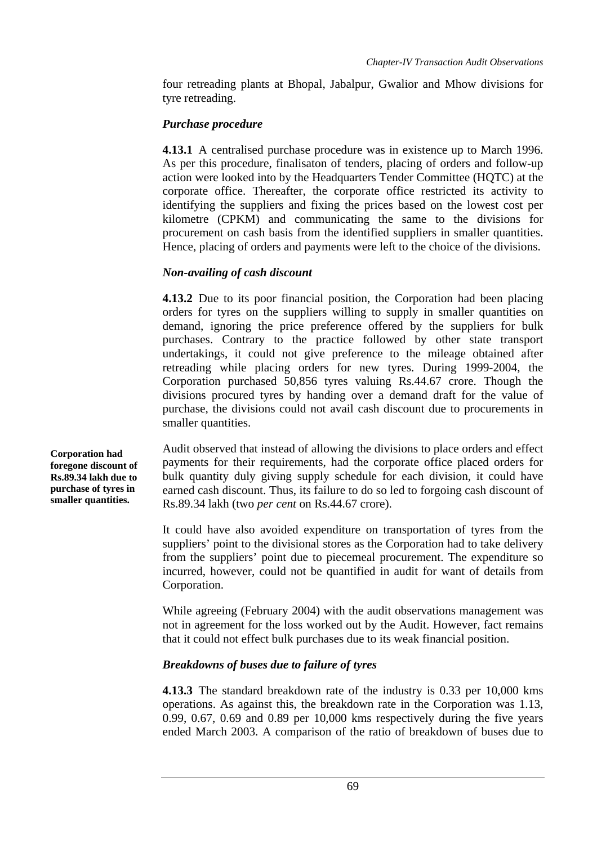four retreading plants at Bhopal, Jabalpur, Gwalior and Mhow divisions for tyre retreading.

# *Purchase procedure*

**4.13.1** A centralised purchase procedure was in existence up to March 1996. As per this procedure, finalisaton of tenders, placing of orders and follow-up action were looked into by the Headquarters Tender Committee (HQTC) at the corporate office. Thereafter, the corporate office restricted its activity to identifying the suppliers and fixing the prices based on the lowest cost per kilometre (CPKM) and communicating the same to the divisions for procurement on cash basis from the identified suppliers in smaller quantities. Hence, placing of orders and payments were left to the choice of the divisions.

# *Non-availing of cash discount*

**4.13.2** Due to its poor financial position, the Corporation had been placing orders for tyres on the suppliers willing to supply in smaller quantities on demand, ignoring the price preference offered by the suppliers for bulk purchases. Contrary to the practice followed by other state transport undertakings, it could not give preference to the mileage obtained after retreading while placing orders for new tyres. During 1999-2004, the Corporation purchased 50,856 tyres valuing Rs.44.67 crore. Though the divisions procured tyres by handing over a demand draft for the value of purchase, the divisions could not avail cash discount due to procurements in smaller quantities.

Audit observed that instead of allowing the divisions to place orders and effect payments for their requirements, had the corporate office placed orders for bulk quantity duly giving supply schedule for each division, it could have earned cash discount. Thus, its failure to do so led to forgoing cash discount of Rs.89.34 lakh (two *per cent* on Rs.44.67 crore).

It could have also avoided expenditure on transportation of tyres from the suppliers' point to the divisional stores as the Corporation had to take delivery from the suppliers' point due to piecemeal procurement. The expenditure so incurred, however, could not be quantified in audit for want of details from Corporation.

While agreeing (February 2004) with the audit observations management was not in agreement for the loss worked out by the Audit. However, fact remains that it could not effect bulk purchases due to its weak financial position.

# *Breakdowns of buses due to failure of tyres*

**4.13.3** The standard breakdown rate of the industry is 0.33 per 10,000 kms operations. As against this, the breakdown rate in the Corporation was 1.13, 0.99, 0.67, 0.69 and 0.89 per 10,000 kms respectively during the five years ended March 2003. A comparison of the ratio of breakdown of buses due to

**Corporation had foregone discount of Rs.89.34 lakh due to purchase of tyres in smaller quantities.**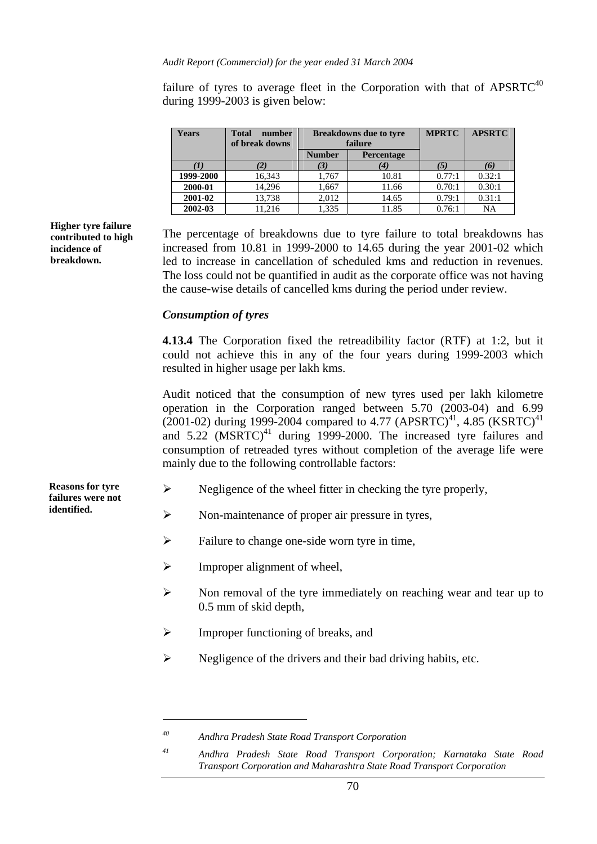failure of tyres to average fleet in the Corporation with that of  $\text{AP} \text{SRTC}^{40}$ during 1999-2003 is given below:

| <b>Years</b> | <b>Total</b><br>number<br>of break downs |               | <b>Breakdowns due to tyre</b><br>failure | <b>MPRTC</b> | <b>APSRTC</b> |
|--------------|------------------------------------------|---------------|------------------------------------------|--------------|---------------|
|              |                                          | <b>Number</b> | Percentage                               |              |               |
|              |                                          |               | (4)                                      |              | (6)           |
| 1999-2000    | 16,343                                   | 1,767         | 10.81                                    | 0.77:1       | 0.32:1        |
| 2000-01      | 14,296                                   | 1,667         | 11.66                                    | 0.70:1       | 0.30:1        |
| 2001-02      | 13,738                                   | 2.012         | 14.65                                    | 0.79:1       | 0.31:1        |
| 2002-03      | 11.216                                   | 1,335         | 11.85                                    | 0.76:1       | NA            |

**Higher tyre failure contributed to high incidence of breakdown.**

The percentage of breakdowns due to tyre failure to total breakdowns has increased from 10.81 in 1999-2000 to 14.65 during the year 2001-02 which led to increase in cancellation of scheduled kms and reduction in revenues. The loss could not be quantified in audit as the corporate office was not having the cause-wise details of cancelled kms during the period under review.

#### *Consumption of tyres*

**4.13.4** The Corporation fixed the retreadibility factor (RTF) at 1:2, but it could not achieve this in any of the four years during 1999-2003 which resulted in higher usage per lakh kms.

Audit noticed that the consumption of new tyres used per lakh kilometre operation in the Corporation ranged between 5.70 (2003-04) and 6.99 (2001-02) during 1999-2004 compared to 4.77 (APSRTC)<sup>41</sup>, 4.85 (KSRTC)<sup>41</sup> and  $5.22$  (MSRTC)<sup>41</sup> during 1999-2000. The increased tyre failures and consumption of retreaded tyres without completion of the average life were mainly due to the following controllable factors:

- $\triangleright$  Negligence of the wheel fitter in checking the tyre properly,
- ¾ Non-maintenance of proper air pressure in tyres,
- $\triangleright$  Failure to change one-side worn tyre in time,
- $\triangleright$  Improper alignment of wheel,
- $\triangleright$  Non removal of the tyre immediately on reaching wear and tear up to 0.5 mm of skid depth,
- $\triangleright$  Improper functioning of breaks, and
- $\triangleright$  Negligence of the drivers and their bad driving habits, etc.

**Reasons for tyre failures were not identified.** 

 $\overline{a}$ 

*<sup>40</sup> Andhra Pradesh State Road Transport Corporation* 

*<sup>41</sup> Andhra Pradesh State Road Transport Corporation; Karnataka State Road Transport Corporation and Maharashtra State Road Transport Corporation*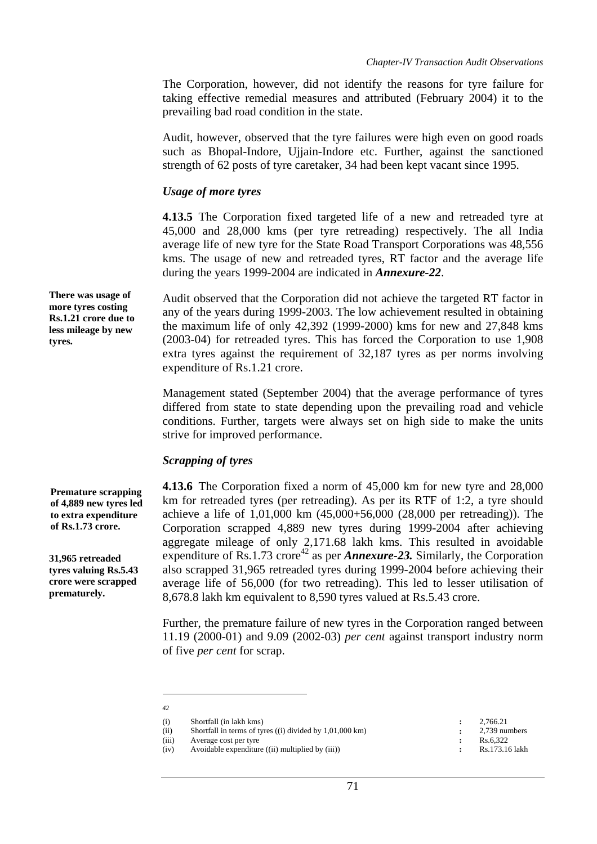The Corporation, however, did not identify the reasons for tyre failure for taking effective remedial measures and attributed (February 2004) it to the prevailing bad road condition in the state.

Audit, however, observed that the tyre failures were high even on good roads such as Bhopal-Indore, Ujjain-Indore etc. Further, against the sanctioned strength of 62 posts of tyre caretaker, 34 had been kept vacant since 1995.

#### *Usage of more tyres*

**4.13.5** The Corporation fixed targeted life of a new and retreaded tyre at 45,000 and 28,000 kms (per tyre retreading) respectively. The all India average life of new tyre for the State Road Transport Corporations was 48,556 kms. The usage of new and retreaded tyres, RT factor and the average life during the years 1999-2004 are indicated in *Annexure-22*.

Audit observed that the Corporation did not achieve the targeted RT factor in any of the years during 1999-2003. The low achievement resulted in obtaining the maximum life of only 42,392 (1999-2000) kms for new and 27,848 kms (2003-04) for retreaded tyres. This has forced the Corporation to use 1,908 extra tyres against the requirement of 32,187 tyres as per norms involving expenditure of Rs.1.21 crore.

Management stated (September 2004) that the average performance of tyres differed from state to state depending upon the prevailing road and vehicle conditions. Further, targets were always set on high side to make the units strive for improved performance.

## *Scrapping of tyres*

**4.13.6** The Corporation fixed a norm of 45,000 km for new tyre and 28,000 km for retreaded tyres (per retreading). As per its RTF of 1:2, a tyre should achieve a life of 1,01,000 km (45,000+56,000 (28,000 per retreading)). The Corporation scrapped 4,889 new tyres during 1999-2004 after achieving aggregate mileage of only 2,171.68 lakh kms. This resulted in avoidable expenditure of  $\text{Rs}.1.73 \text{ crore}^{42}$  as per *Annexure-23*. Similarly, the Corporation also scrapped 31,965 retreaded tyres during 1999-2004 before achieving their average life of 56,000 (for two retreading). This led to lesser utilisation of 8,678.8 lakh km equivalent to 8,590 tyres valued at Rs.5.43 crore.

Further, the premature failure of new tyres in the Corporation ranged between 11.19 (2000-01) and 9.09 (2002-03) *per cent* against transport industry norm of five *per cent* for scrap.

 $\overline{a}$ *42* 

**There was usage of more tyres costing Rs.1.21 crore due to less mileage by new tyres.** 

**Premature scrapping of 4,889 new tyres led to extra expenditure of Rs.1.73 crore.** 

**31,965 retreaded tyres valuing Rs.5.43 crore were scrapped prematurely.** 

<sup>(</sup>i) Shortfall (in lakh kms) **:** 2,766.21<br>
(ii) Shortfall in terms of tyres ((i) divided by 1,01,000 km) **:** 2,739 numbers (ii) Shortfall in terms of tyres ((i) divided by  $1,01,000 \text{ km}$ ) **:**  $2,739 \text{ mu}$ <br>(iii) Average cost per tyre

<sup>(</sup>iii) Average cost per tyre **:** Rs.6,322

<sup>(</sup>iv) Avoidable expenditure ((ii) multiplied by (iii)) **:** Rs.173.16 lakh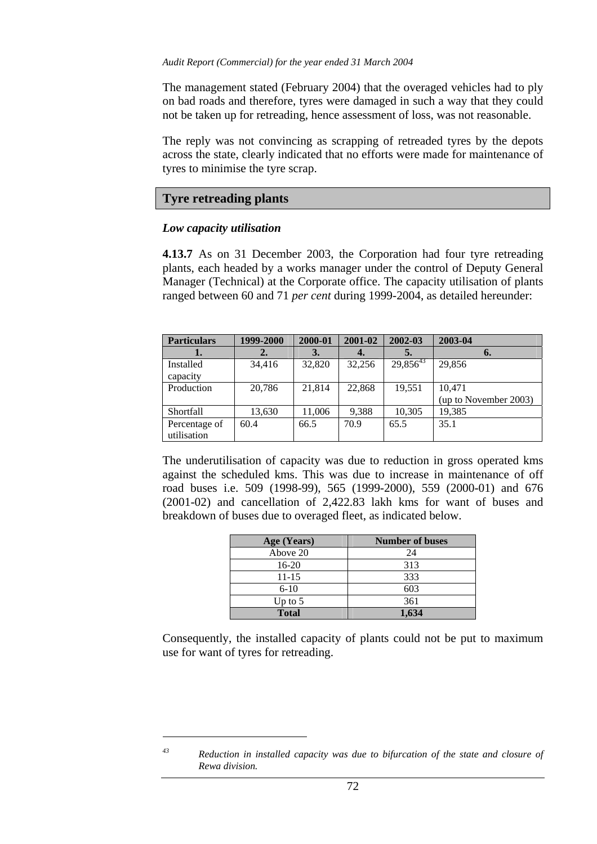The management stated (February 2004) that the overaged vehicles had to ply on bad roads and therefore, tyres were damaged in such a way that they could not be taken up for retreading, hence assessment of loss, was not reasonable.

The reply was not convincing as scrapping of retreaded tyres by the depots across the state, clearly indicated that no efforts were made for maintenance of tyres to minimise the tyre scrap.

## **Tyre retreading plants**

#### *Low capacity utilisation*

**4.13.7** As on 31 December 2003, the Corporation had four tyre retreading plants, each headed by a works manager under the control of Deputy General Manager (Technical) at the Corporate office. The capacity utilisation of plants ranged between 60 and 71 *per cent* during 1999-2004, as detailed hereunder:

| <b>Particulars</b>           | 1999-2000 | 2000-01 | 2001-02 | 2002-03       | 2003-04                         |
|------------------------------|-----------|---------|---------|---------------|---------------------------------|
| ı.                           | 2.        | 3.      |         | 5.            | 6.                              |
| Installed<br>capacity        | 34,416    | 32,820  | 32,256  | $29,856^{43}$ | 29,856                          |
| Production                   | 20,786    | 21,814  | 22,868  | 19,551        | 10.471<br>(up to November 2003) |
| Shortfall                    | 13,630    | 11,006  | 9,388   | 10,305        | 19,385                          |
| Percentage of<br>utilisation | 60.4      | 66.5    | 70.9    | 65.5          | 35.1                            |

The underutilisation of capacity was due to reduction in gross operated kms against the scheduled kms. This was due to increase in maintenance of off road buses i.e. 509 (1998-99), 565 (1999-2000), 559 (2000-01) and 676 (2001-02) and cancellation of 2,422.83 lakh kms for want of buses and breakdown of buses due to overaged fleet, as indicated below.

| Age (Years)  | <b>Number of buses</b> |
|--------------|------------------------|
| Above 20     | 24                     |
| 16-20        | 313                    |
| $11 - 15$    | 333                    |
| $6-10$       | 603                    |
| Up to $5$    | 361                    |
| <b>Total</b> | 1,634                  |

Consequently, the installed capacity of plants could not be put to maximum use for want of tyres for retreading.

 $\overline{a}$ 

*<sup>43</sup> Reduction in installed capacity was due to bifurcation of the state and closure of Rewa division.*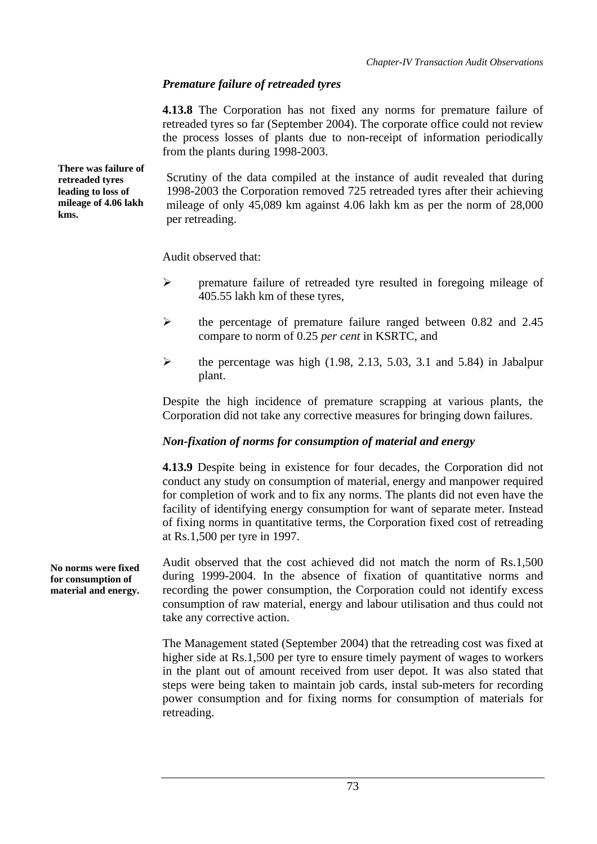# *Premature failure of retreaded tyres*

**4.13.8** The Corporation has not fixed any norms for premature failure of retreaded tyres so far (September 2004). The corporate office could not review the process losses of plants due to non-receipt of information periodically from the plants during 1998-2003.

Scrutiny of the data compiled at the instance of audit revealed that during 1998-2003 the Corporation removed 725 retreaded tyres after their achieving mileage of only 45,089 km against 4.06 lakh km as per the norm of 28,000 per retreading.

Audit observed that:

- ¾ premature failure of retreaded tyre resulted in foregoing mileage of 405.55 lakh km of these tyres,
- ¾ the percentage of premature failure ranged between 0.82 and 2.45 compare to norm of 0.25 *per cent* in KSRTC, and
- $\blacktriangleright$  the percentage was high (1.98, 2.13, 5.03, 3.1 and 5.84) in Jabalpur plant.

Despite the high incidence of premature scrapping at various plants, the Corporation did not take any corrective measures for bringing down failures.

## *Non-fixation of norms for consumption of material and energy*

**4.13.9** Despite being in existence for four decades, the Corporation did not conduct any study on consumption of material, energy and manpower required for completion of work and to fix any norms. The plants did not even have the facility of identifying energy consumption for want of separate meter. Instead of fixing norms in quantitative terms, the Corporation fixed cost of retreading at Rs.1,500 per tyre in 1997.

Audit observed that the cost achieved did not match the norm of Rs.1,500 during 1999-2004. In the absence of fixation of quantitative norms and recording the power consumption, the Corporation could not identify excess consumption of raw material, energy and labour utilisation and thus could not take any corrective action.

The Management stated (September 2004) that the retreading cost was fixed at higher side at Rs.1,500 per tyre to ensure timely payment of wages to workers in the plant out of amount received from user depot. It was also stated that steps were being taken to maintain job cards, instal sub-meters for recording power consumption and for fixing norms for consumption of materials for retreading.

**There was failure of retreaded tyres leading to loss of mileage of 4.06 lakh kms.** 

**No norms were fixed for consumption of material and energy.**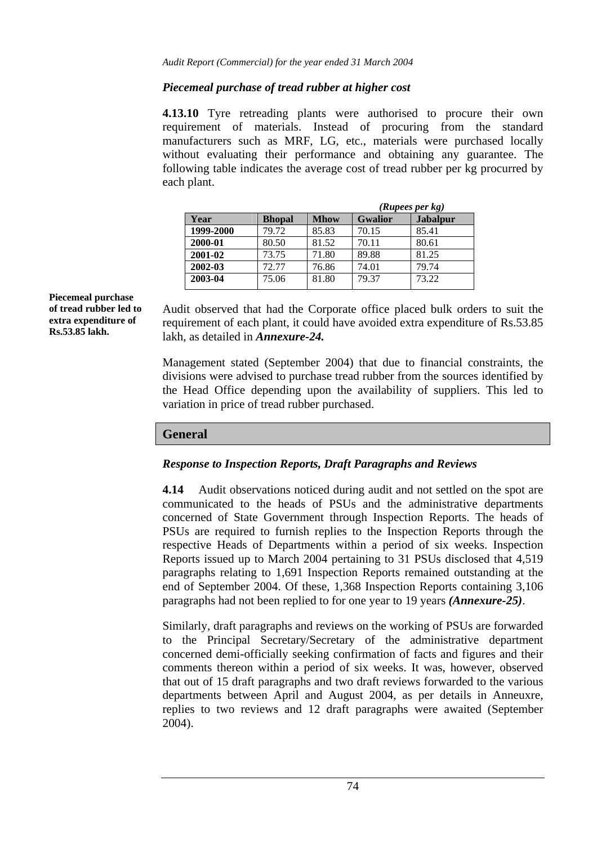## *Piecemeal purchase of tread rubber at higher cost*

**4.13.10** Tyre retreading plants were authorised to procure their own requirement of materials. Instead of procuring from the standard manufacturers such as MRF, LG, etc., materials were purchased locally without evaluating their performance and obtaining any guarantee. The following table indicates the average cost of tread rubber per kg procurred by each plant.

|               |             | (Rupees per kg) |                 |  |
|---------------|-------------|-----------------|-----------------|--|
| <b>Bhopal</b> | <b>Mhow</b> | <b>Gwalior</b>  | <b>Jabalpur</b> |  |
| 79.72         | 85.83       | 70.15           | 85.41           |  |
| 80.50         | 81.52       | 70.11           | 80.61           |  |
| 73.75         | 71.80       | 89.88           | 81.25           |  |
| 72.77         | 76.86       | 74.01           | 79.74           |  |
| 75.06         | 81.80       | 79.37           | 73.22           |  |
|               |             |                 |                 |  |

**Piecemeal purchase of tread rubber led to extra expenditure of Rs.53.85 lakh.** 

Audit observed that had the Corporate office placed bulk orders to suit the requirement of each plant, it could have avoided extra expenditure of Rs.53.85 lakh, as detailed in *Annexure-24.*

Management stated (September 2004) that due to financial constraints, the divisions were advised to purchase tread rubber from the sources identified by the Head Office depending upon the availability of suppliers. This led to variation in price of tread rubber purchased.

## **General**

#### *Response to Inspection Reports, Draft Paragraphs and Reviews*

**4.14** Audit observations noticed during audit and not settled on the spot are communicated to the heads of PSUs and the administrative departments concerned of State Government through Inspection Reports. The heads of PSUs are required to furnish replies to the Inspection Reports through the respective Heads of Departments within a period of six weeks. Inspection Reports issued up to March 2004 pertaining to 31 PSUs disclosed that 4,519 paragraphs relating to 1,691 Inspection Reports remained outstanding at the end of September 2004. Of these, 1,368 Inspection Reports containing 3,106 paragraphs had not been replied to for one year to 19 years *(Annexure-25)*.

Similarly, draft paragraphs and reviews on the working of PSUs are forwarded to the Principal Secretary/Secretary of the administrative department concerned demi-officially seeking confirmation of facts and figures and their comments thereon within a period of six weeks. It was, however, observed that out of 15 draft paragraphs and two draft reviews forwarded to the various departments between April and August 2004, as per details in Anneuxre, replies to two reviews and 12 draft paragraphs were awaited (September 2004).